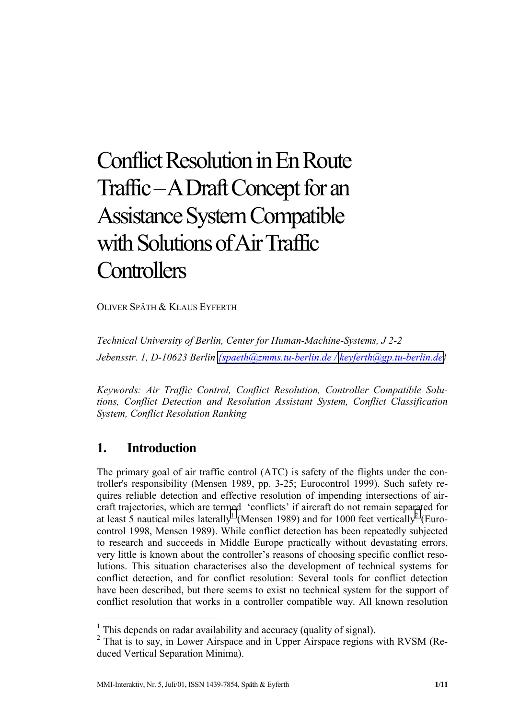# Conflict Resolution in En Route Traffic – A Draft Concept for an Assistance System Compatible with Solutions of Air Traffic **Controllers**

OLIVER SPÄTH & KLAUS EYFERTH

*Technical University of Berlin, Center for Human-Machine-Systems, J 2-2 Jebensstr. 1, D-10623 Berlin [{spaeth@zmms.tu-berlin.de /](mailto:{spaeth@zmms.tu-berlin.de/) [keyferth@gp.tu-berlin.de}](mailto:keyferth@gp.tu-berlin.de)* 

*Keywords: Air Traffic Control, Conflict Resolution, Controller Compatible Solutions, Conflict Detection and Resolution Assistant System, Conflict Classification System, Conflict Resolution Ranking* 

## **1. Introduction**

 $\overline{a}$ 

The primary goal of air traffic control (ATC) is safety of the flights under the controller's responsibility (Mensen 1989, pp. 3-25; Eurocontrol 1999). Such safety requires reliable detection and effective resolution of impending intersections of aircraft trajectories, which are termed 'conflicts' if aircraft do not remain separated for at least 5 nautical miles laterally<sup>1</sup> (Mensen 1989) and for 1000 feet vertically<sup>2</sup> (Eurocontrol 1998, Mensen 1989). While conflict detection has been repeatedly subjected to research and succeeds in Middle Europe practically without devastating errors, very little is known about the controller's reasons of choosing specific conflict resolutions. This situation characterises also the development of technical systems for conflict detection, and for conflict resolution: Several tools for conflict detection have been described, but there seems to exist no technical system for the support of conflict resolution that works in a controller compatible way. All known resolution

<sup>&</sup>lt;sup>1</sup> This depends on radar availability and accuracy (quality of signal).

<sup>&</sup>lt;sup>2</sup> That is to say, in Lower Airspace and in Upper Airspace regions with RVSM (Reduced Vertical Separation Minima).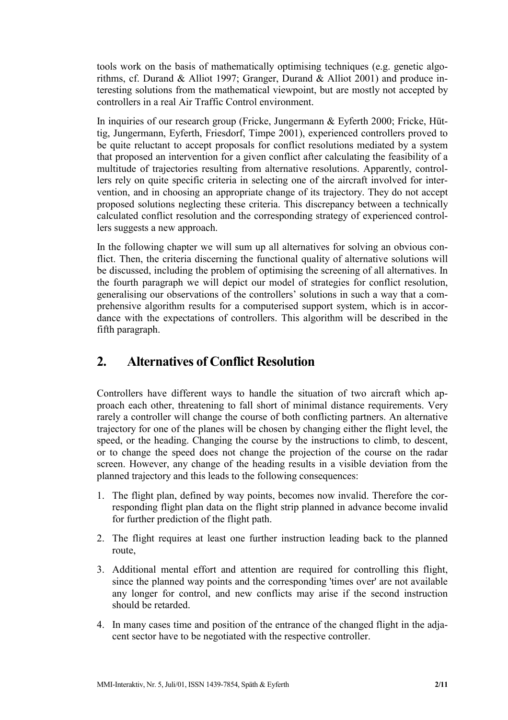tools work on the basis of mathematically optimising techniques (e.g. genetic algorithms, cf. Durand & Alliot 1997; Granger, Durand & Alliot 2001) and produce interesting solutions from the mathematical viewpoint, but are mostly not accepted by controllers in a real Air Traffic Control environment.

In inquiries of our research group (Fricke, Jungermann & Eyferth 2000; Fricke, Hüttig, Jungermann, Eyferth, Friesdorf, Timpe 2001), experienced controllers proved to be quite reluctant to accept proposals for conflict resolutions mediated by a system that proposed an intervention for a given conflict after calculating the feasibility of a multitude of trajectories resulting from alternative resolutions. Apparently, controllers rely on quite specific criteria in selecting one of the aircraft involved for intervention, and in choosing an appropriate change of its trajectory. They do not accept proposed solutions neglecting these criteria. This discrepancy between a technically calculated conflict resolution and the corresponding strategy of experienced controllers suggests a new approach.

In the following chapter we will sum up all alternatives for solving an obvious conflict. Then, the criteria discerning the functional quality of alternative solutions will be discussed, including the problem of optimising the screening of all alternatives. In the fourth paragraph we will depict our model of strategies for conflict resolution, generalising our observations of the controllers' solutions in such a way that a comprehensive algorithm results for a computerised support system, which is in accordance with the expectations of controllers. This algorithm will be described in the fifth paragraph.

## **2. Alternatives of Conflict Resolution**

Controllers have different ways to handle the situation of two aircraft which approach each other, threatening to fall short of minimal distance requirements. Very rarely a controller will change the course of both conflicting partners. An alternative trajectory for one of the planes will be chosen by changing either the flight level, the speed, or the heading. Changing the course by the instructions to climb, to descent, or to change the speed does not change the projection of the course on the radar screen. However, any change of the heading results in a visible deviation from the planned trajectory and this leads to the following consequences:

- 1. The flight plan, defined by way points, becomes now invalid. Therefore the corresponding flight plan data on the flight strip planned in advance become invalid for further prediction of the flight path.
- 2. The flight requires at least one further instruction leading back to the planned route,
- 3. Additional mental effort and attention are required for controlling this flight, since the planned way points and the corresponding 'times over' are not available any longer for control, and new conflicts may arise if the second instruction should be retarded.
- 4. In many cases time and position of the entrance of the changed flight in the adjacent sector have to be negotiated with the respective controller.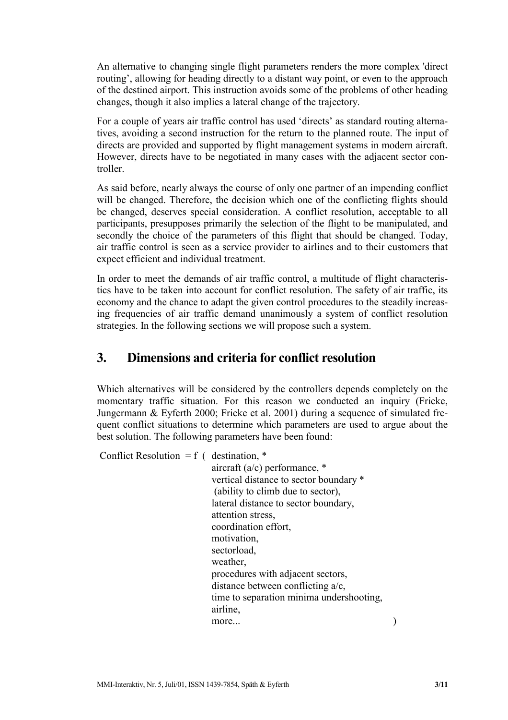An alternative to changing single flight parameters renders the more complex 'direct routing', allowing for heading directly to a distant way point, or even to the approach of the destined airport. This instruction avoids some of the problems of other heading changes, though it also implies a lateral change of the trajectory.

For a couple of years air traffic control has used 'directs' as standard routing alternatives, avoiding a second instruction for the return to the planned route. The input of directs are provided and supported by flight management systems in modern aircraft. However, directs have to be negotiated in many cases with the adjacent sector controller.

As said before, nearly always the course of only one partner of an impending conflict will be changed. Therefore, the decision which one of the conflicting flights should be changed, deserves special consideration. A conflict resolution, acceptable to all participants, presupposes primarily the selection of the flight to be manipulated, and secondly the choice of the parameters of this flight that should be changed. Today, air traffic control is seen as a service provider to airlines and to their customers that expect efficient and individual treatment.

In order to meet the demands of air traffic control, a multitude of flight characteristics have to be taken into account for conflict resolution. The safety of air traffic, its economy and the chance to adapt the given control procedures to the steadily increasing frequencies of air traffic demand unanimously a system of conflict resolution strategies. In the following sections we will propose such a system.

### **3. Dimensions and criteria for conflict resolution**

Which alternatives will be considered by the controllers depends completely on the momentary traffic situation. For this reason we conducted an inquiry (Fricke, Jungermann & Eyferth 2000; Fricke et al. 2001) during a sequence of simulated frequent conflict situations to determine which parameters are used to argue about the best solution. The following parameters have been found:

Conflict Resolution =  $f$  ( destination,  $*$ 

 aircraft (a/c) performance, \* vertical distance to sector boundary \* (ability to climb due to sector), lateral distance to sector boundary, attention stress, coordination effort, motivation, sectorload, weather, procedures with adjacent sectors, distance between conflicting a/c, time to separation minima undershooting, airline, more...  $)$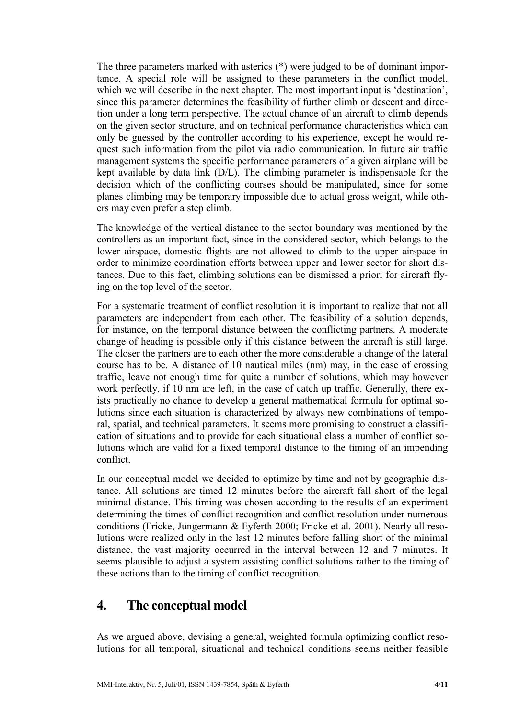The three parameters marked with asterics (\*) were judged to be of dominant importance. A special role will be assigned to these parameters in the conflict model, which we will describe in the next chapter. The most important input is 'destination', since this parameter determines the feasibility of further climb or descent and direction under a long term perspective. The actual chance of an aircraft to climb depends on the given sector structure, and on technical performance characteristics which can only be guessed by the controller according to his experience, except he would request such information from the pilot via radio communication. In future air traffic management systems the specific performance parameters of a given airplane will be kept available by data link (D/L). The climbing parameter is indispensable for the decision which of the conflicting courses should be manipulated, since for some planes climbing may be temporary impossible due to actual gross weight, while others may even prefer a step climb.

The knowledge of the vertical distance to the sector boundary was mentioned by the controllers as an important fact, since in the considered sector, which belongs to the lower airspace, domestic flights are not allowed to climb to the upper airspace in order to minimize coordination efforts between upper and lower sector for short distances. Due to this fact, climbing solutions can be dismissed a priori for aircraft flying on the top level of the sector.

For a systematic treatment of conflict resolution it is important to realize that not all parameters are independent from each other. The feasibility of a solution depends, for instance, on the temporal distance between the conflicting partners. A moderate change of heading is possible only if this distance between the aircraft is still large. The closer the partners are to each other the more considerable a change of the lateral course has to be. A distance of 10 nautical miles (nm) may, in the case of crossing traffic, leave not enough time for quite a number of solutions, which may however work perfectly, if 10 nm are left, in the case of catch up traffic. Generally, there exists practically no chance to develop a general mathematical formula for optimal solutions since each situation is characterized by always new combinations of temporal, spatial, and technical parameters. It seems more promising to construct a classification of situations and to provide for each situational class a number of conflict solutions which are valid for a fixed temporal distance to the timing of an impending conflict.

In our conceptual model we decided to optimize by time and not by geographic distance. All solutions are timed 12 minutes before the aircraft fall short of the legal minimal distance. This timing was chosen according to the results of an experiment determining the times of conflict recognition and conflict resolution under numerous conditions (Fricke, Jungermann & Eyferth 2000; Fricke et al. 2001). Nearly all resolutions were realized only in the last 12 minutes before falling short of the minimal distance, the vast majority occurred in the interval between 12 and 7 minutes. It seems plausible to adjust a system assisting conflict solutions rather to the timing of these actions than to the timing of conflict recognition.

#### **4. The conceptual model**

As we argued above, devising a general, weighted formula optimizing conflict resolutions for all temporal, situational and technical conditions seems neither feasible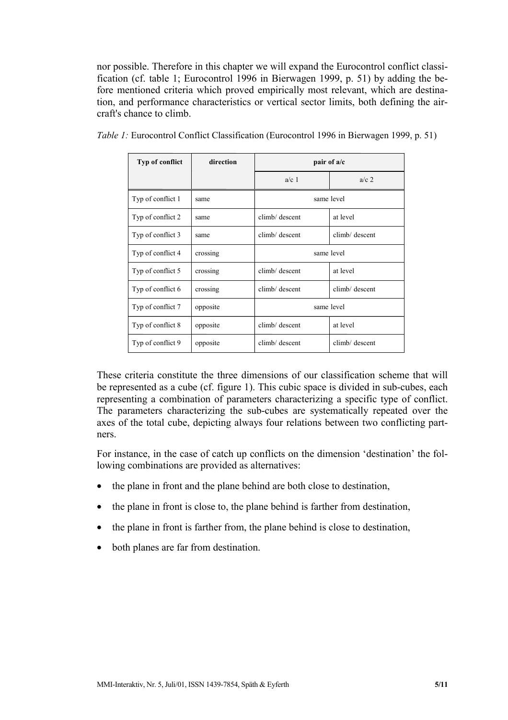nor possible. Therefore in this chapter we will expand the Eurocontrol conflict classification (cf. table 1; Eurocontrol 1996 in Bierwagen 1999, p. 51) by adding the before mentioned criteria which proved empirically most relevant, which are destination, and performance characteristics or vertical sector limits, both defining the aircraft's chance to climb.

| Typ of conflict   | direction | pair of a/c    |                |
|-------------------|-----------|----------------|----------------|
|                   |           | $a/c$ 1        | $a/c$ 2        |
| Typ of conflict 1 | same      | same level     |                |
| Typ of conflict 2 | same      | climb/ descent | at level       |
| Typ of conflict 3 | same      | climb/ descent | climb/ descent |
| Typ of conflict 4 | crossing  | same level     |                |
| Typ of conflict 5 | crossing  | climb/ descent | at level       |
| Typ of conflict 6 | crossing  | climb/ descent | climb/ descent |
| Typ of conflict 7 | opposite  | same level     |                |
| Typ of conflict 8 | opposite  | climb/ descent | at level       |
| Typ of conflict 9 | opposite  | climb/ descent | climb/ descent |

*Table 1:* Eurocontrol Conflict Classification (Eurocontrol 1996 in Bierwagen 1999, p. 51)

These criteria constitute the three dimensions of our classification scheme that will be represented as a cube (cf. figure 1). This cubic space is divided in sub-cubes, each representing a combination of parameters characterizing a specific type of conflict. The parameters characterizing the sub-cubes are systematically repeated over the axes of the total cube, depicting always four relations between two conflicting partners.

For instance, in the case of catch up conflicts on the dimension 'destination' the following combinations are provided as alternatives:

- the plane in front and the plane behind are both close to destination,
- the plane in front is close to, the plane behind is farther from destination,
- the plane in front is farther from, the plane behind is close to destination,
- both planes are far from destination.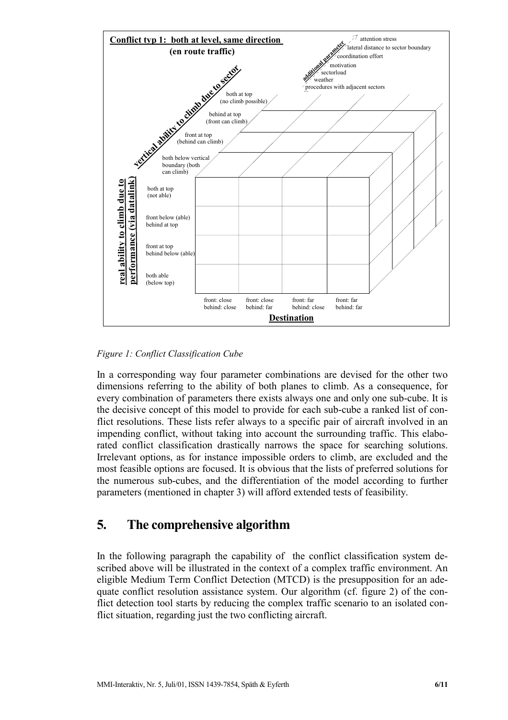

*Figure 1: Conflict Classification Cube* 

In a corresponding way four parameter combinations are devised for the other two dimensions referring to the ability of both planes to climb. As a consequence, for every combination of parameters there exists always one and only one sub-cube. It is the decisive concept of this model to provide for each sub-cube a ranked list of conflict resolutions. These lists refer always to a specific pair of aircraft involved in an impending conflict, without taking into account the surrounding traffic. This elaborated conflict classification drastically narrows the space for searching solutions. Irrelevant options, as for instance impossible orders to climb, are excluded and the most feasible options are focused. It is obvious that the lists of preferred solutions for the numerous sub-cubes, and the differentiation of the model according to further parameters (mentioned in chapter 3) will afford extended tests of feasibility.

## **5. The comprehensive algorithm**

In the following paragraph the capability of the conflict classification system described above will be illustrated in the context of a complex traffic environment. An eligible Medium Term Conflict Detection (MTCD) is the presupposition for an adequate conflict resolution assistance system. Our algorithm (cf. figure 2) of the conflict detection tool starts by reducing the complex traffic scenario to an isolated conflict situation, regarding just the two conflicting aircraft.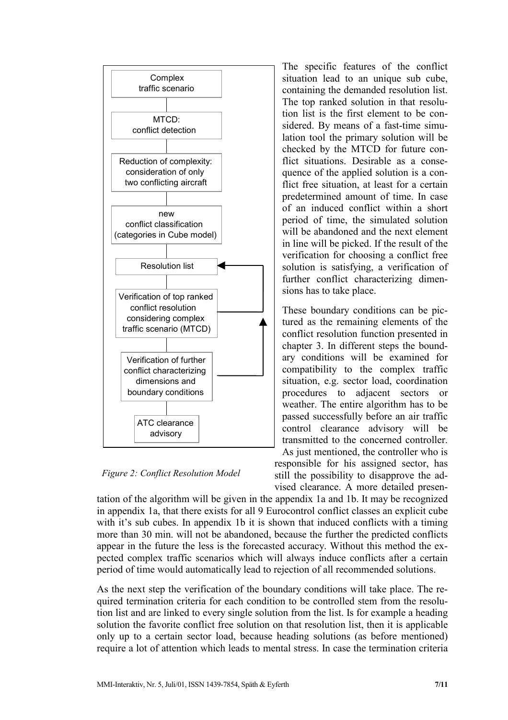

*Figure 2: Conflict Resolution Model* 

The specific features of the conflict situation lead to an unique sub cube, containing the demanded resolution list. The top ranked solution in that resolution list is the first element to be considered. By means of a fast-time simulation tool the primary solution will be checked by the MTCD for future conflict situations. Desirable as a consequence of the applied solution is a conflict free situation, at least for a certain predetermined amount of time. In case of an induced conflict within a short period of time, the simulated solution will be abandoned and the next element in line will be picked. If the result of the verification for choosing a conflict free solution is satisfying, a verification of further conflict characterizing dimensions has to take place.

These boundary conditions can be pictured as the remaining elements of the conflict resolution function presented in chapter 3. In different steps the boundary conditions will be examined for compatibility to the complex traffic situation, e.g. sector load, coordination procedures to adjacent sectors or weather. The entire algorithm has to be passed successfully before an air traffic control clearance advisory will be transmitted to the concerned controller.

As just mentioned, the controller who is responsible for his assigned sector, has still the possibility to disapprove the advised clearance. A more detailed presen-

tation of the algorithm will be given in the appendix 1a and 1b. It may be recognized in appendix 1a, that there exists for all 9 Eurocontrol conflict classes an explicit cube with it's sub cubes. In appendix 1b it is shown that induced conflicts with a timing more than 30 min. will not be abandoned, because the further the predicted conflicts appear in the future the less is the forecasted accuracy. Without this method the expected complex traffic scenarios which will always induce conflicts after a certain period of time would automatically lead to rejection of all recommended solutions.

As the next step the verification of the boundary conditions will take place. The required termination criteria for each condition to be controlled stem from the resolution list and are linked to every single solution from the list. Is for example a heading solution the favorite conflict free solution on that resolution list, then it is applicable only up to a certain sector load, because heading solutions (as before mentioned) require a lot of attention which leads to mental stress. In case the termination criteria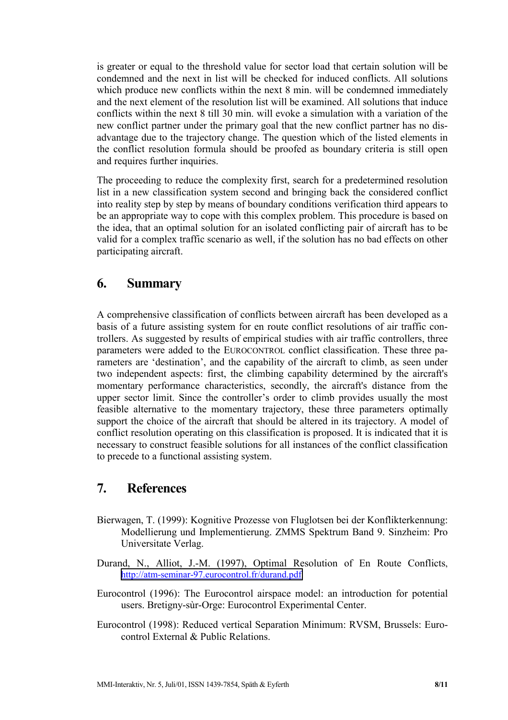is greater or equal to the threshold value for sector load that certain solution will be condemned and the next in list will be checked for induced conflicts. All solutions which produce new conflicts within the next 8 min. will be condemned immediately and the next element of the resolution list will be examined. All solutions that induce conflicts within the next 8 till 30 min. will evoke a simulation with a variation of the new conflict partner under the primary goal that the new conflict partner has no disadvantage due to the trajectory change. The question which of the listed elements in the conflict resolution formula should be proofed as boundary criteria is still open and requires further inquiries.

The proceeding to reduce the complexity first, search for a predetermined resolution list in a new classification system second and bringing back the considered conflict into reality step by step by means of boundary conditions verification third appears to be an appropriate way to cope with this complex problem. This procedure is based on the idea, that an optimal solution for an isolated conflicting pair of aircraft has to be valid for a complex traffic scenario as well, if the solution has no bad effects on other participating aircraft.

#### **6. Summary**

A comprehensive classification of conflicts between aircraft has been developed as a basis of a future assisting system for en route conflict resolutions of air traffic controllers. As suggested by results of empirical studies with air traffic controllers, three parameters were added to the EUROCONTROL conflict classification. These three parameters are 'destination', and the capability of the aircraft to climb, as seen under two independent aspects: first, the climbing capability determined by the aircraft's momentary performance characteristics, secondly, the aircraft's distance from the upper sector limit. Since the controller's order to climb provides usually the most feasible alternative to the momentary trajectory, these three parameters optimally support the choice of the aircraft that should be altered in its trajectory. A model of conflict resolution operating on this classification is proposed. It is indicated that it is necessary to construct feasible solutions for all instances of the conflict classification to precede to a functional assisting system.

#### **7. References**

- Bierwagen, T. (1999): Kognitive Prozesse von Fluglotsen bei der Konflikterkennung: Modellierung und Implementierung. ZMMS Spektrum Band 9. Sinzheim: Pro Universitate Verlag.
- Durand, N., Alliot, J.-M. (1997), Optimal Resolution of En Route Conflicts, <http://atm-seminar-97.eurocontrol.fr/durand.pdf>
- Eurocontrol (1996): The Eurocontrol airspace model: an introduction for potential users. Bretigny-sùr-Orge: Eurocontrol Experimental Center.
- Eurocontrol (1998): Reduced vertical Separation Minimum: RVSM, Brussels: Eurocontrol External & Public Relations.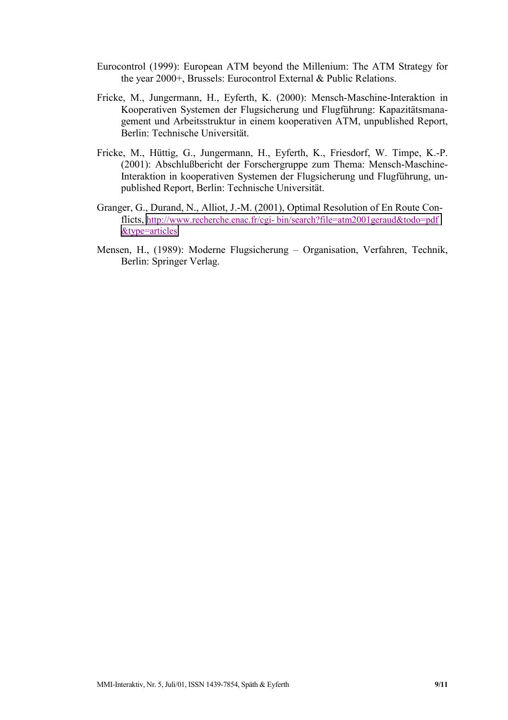- Eurocontrol (1999): European ATM beyond the Millenium: The ATM Strategy for the year 2000+, Brussels: Eurocontrol External & Public Relations.
- Fricke, M., Jungermann, H., Eyferth, K. (2000): Mensch-Maschine-Interaktion in Kooperativen Systemen der Flugsicherung und Flugführung: Kapazitätsmanagement und Arbeitsstruktur in einem kooperativen ATM, unpublished Report, Berlin: Technische Universität.
- Fricke, M., Hüttig, G., Jungermann, H., Eyferth, K., Friesdorf, W. Timpe, K.-P. (2001): Abschlußbericht der Forschergruppe zum Thema: Mensch-Maschine-Interaktion in kooperativen Systemen der Flugsicherung und Flugführung, unpublished Report, Berlin: Technische Universität.
- Granger, G., Durand, N., Alliot, J.-M. (2001), Optimal Resolution of En Route Conflicts, http://www.recherche.enac.fr/cgi- bin/search?file=atm2001geraud&todo=pdf [&type=articles](http://www.recherche.enac.fr/cgi-bin/search?file=atm2001geraud&todo=pdf&type=articles)
- Mensen, H., (1989): Moderne Flugsicherung Organisation, Verfahren, Technik, Berlin: Springer Verlag.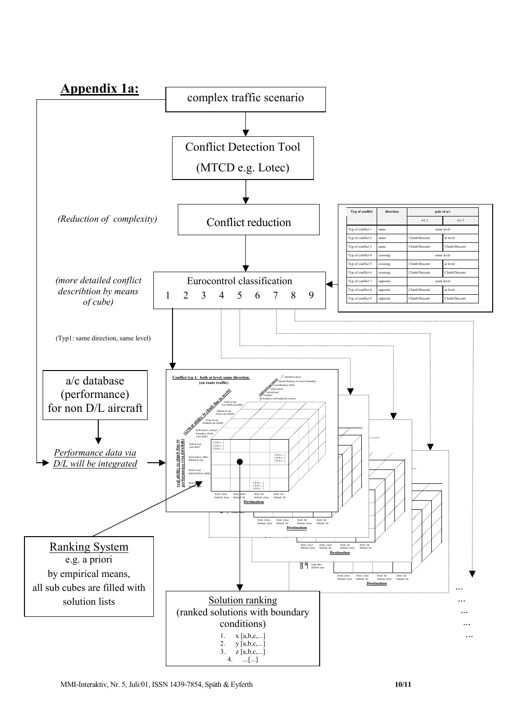